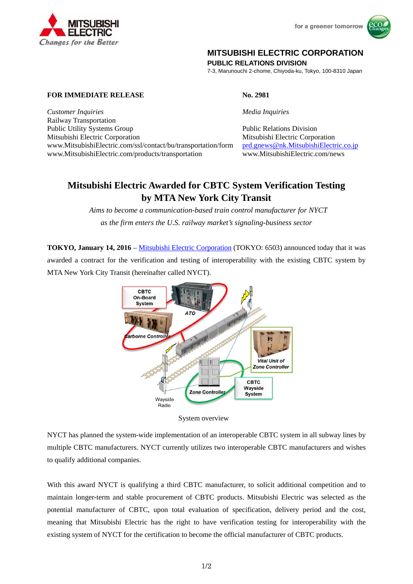



## **MITSUBISHI ELECTRIC CORPORATION**

**PUBLIC RELATIONS DIVISION** 

7-3, Marunouchi 2-chome, Chiyoda-ku, Tokyo, 100-8310 Japan

**FOR IMMEDIATE RELEASE No. 2981** 

**Changes for the Better** 

*Customer Inquiries Media Inquiries* Railway Transportation Public Utility Systems Group **Public Relations Division** Public Relations Division Mitsubishi Electric Corporation Mitsubishi Electric Corporation www.MitsubishiElectric.com/ssl/contact/bu/transportation/form prd.gnews@nk.MitsubishiElectric.co.jp www.MitsubishiElectric.com/products/transportation www.MitsubishiElectric.com/news

## **Mitsubishi Electric Awarded for CBTC System Verification Testing by MTA New York City Transit**

 *Aims to become a communication-based train control manufacturer for NYCT as the firm enters the U.S. railway market's signaling-business sector* 

**TOKYO, January 14, 2016** – Mitsubishi Electric Corporation (TOKYO: 6503) announced today that it was awarded a contract for the verification and testing of interoperability with the existing CBTC system by MTA New York City Transit (hereinafter called NYCT).





NYCT has planned the system-wide implementation of an interoperable CBTC system in all subway lines by multiple CBTC manufacturers. NYCT currently utilizes two interoperable CBTC manufacturers and wishes to qualify additional companies.

With this award NYCT is qualifying a third CBTC manufacturer, to solicit additional competition and to maintain longer-term and stable procurement of CBTC products. Mitsubishi Electric was selected as the potential manufacturer of CBTC, upon total evaluation of specification, delivery period and the cost, meaning that Mitsubishi Electric has the right to have verification testing for interoperability with the existing system of NYCT for the certification to become the official manufacturer of CBTC products.